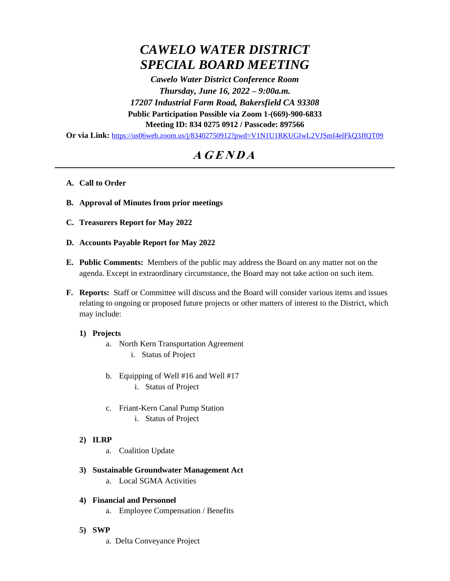# *CAWELO WATER DISTRICT SPECIAL BOARD MEETING*

*Cawelo Water District Conference Room Thursday, June 16, 2022 – 9:00a.m. 17207 Industrial Farm Road, Bakersfield CA 93308* **Public Participation Possible via Zoom 1-(669)-900-6833 Meeting ID: 834 0275 0912 / Passcode: 897566**

**Or via Link:** <https://us06web.zoom.us/j/83402750912?pwd=V1N1U1RKUGIwL2VJSmI4elFkQ3JIQT09>

## **<sup>A</sup> <sup>G</sup> <sup>E</sup> <sup>N</sup> <sup>D</sup> <sup>A</sup>**

#### **A. Call to Order**

- **B. Approval of Minutes from prior meetings**
- **C. Treasurers Report for May 2022**
- **D. Accounts Payable Report for May 2022**
- **E. Public Comments:** Members of the public may address the Board on any matter not on the agenda. Except in extraordinary circumstance, the Board may not take action on such item.
- **F. Reports:** Staff or Committee will discuss and the Board will consider various items and issues relating to ongoing or proposed future projects or other matters of interest to the District, which may include:

#### **1) Projects**

- a. North Kern Transportation Agreement
	- i. Status of Project
- b. Equipping of Well #16 and Well #17 i. Status of Project
- c. Friant-Kern Canal Pump Station
	- i. Status of Project
- **2) ILRP**
	- a. Coalition Update
- **3) Sustainable Groundwater Management Act**
	- a. Local SGMA Activities

### **4) Financial and Personnel**

- a. Employee Compensation / Benefits
- **5) SWP**
	- a. Delta Conveyance Project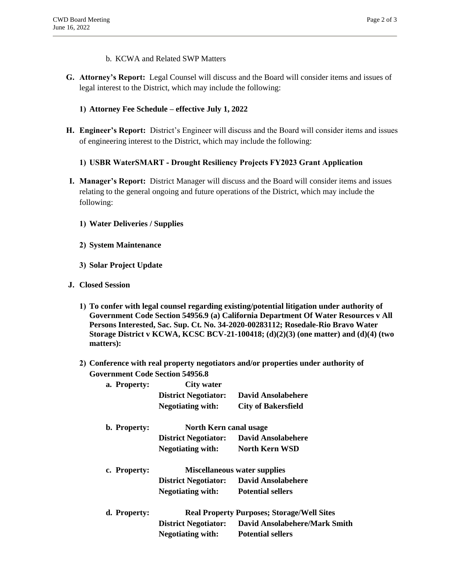- b. KCWA and Related SWP Matters
- **G. Attorney's Report:** Legal Counsel will discuss and the Board will consider items and issues of legal interest to the District, which may include the following:

#### **1) Attorney Fee Schedule – effective July 1, 2022**

**H. Engineer's Report:** District's Engineer will discuss and the Board will consider items and issues of engineering interest to the District, which may include the following:

#### **1) USBR WaterSMART - Drought Resiliency Projects FY2023 Grant Application**

- **I. Manager's Report:** District Manager will discuss and the Board will consider items and issues relating to the general ongoing and future operations of the District, which may include the following:
	- **1) Water Deliveries / Supplies**
	- **2) System Maintenance**
	- **3) Solar Project Update**
- **J. Closed Session**
	- **1) To confer with legal counsel regarding existing/potential litigation under authority of Government Code Section 54956.9 (a) California Department Of Water Resources v All Persons Interested, Sac. Sup. Ct. No. 34-2020-00283112; Rosedale-Rio Bravo Water Storage District v KCWA, KCSC BCV-21-100418; (d)(2)(3) (one matter) and (d)(4) (two matters):**
	- **2) Conference with real property negotiators and/or properties under authority of Government Code Section 54956.8**

| a. Property: | <b>City water</b>                                 |                                                |
|--------------|---------------------------------------------------|------------------------------------------------|
|              | <b>District Negotiator:</b>                       | David Ansolabehere                             |
|              | <b>Negotiating with:</b>                          | <b>City of Bakersfield</b>                     |
| b. Property: | North Kern canal usage                            |                                                |
|              | <b>District Negotiator:</b>                       | David Ansolabehere                             |
|              | <b>Negotiating with:</b>                          | North Kern WSD                                 |
| c. Property: | <b>Miscellaneous water supplies</b>               |                                                |
|              |                                                   | <b>District Negotiator:</b> David Ansolabehere |
|              | <b>Negotiating with:</b>                          | <b>Potential sellers</b>                       |
| d. Property: | <b>Real Property Purposes; Storage/Well Sites</b> |                                                |
|              | <b>District Negotiator:</b>                       | <b>David Ansolabehere/Mark Smith</b>           |
|              | <b>Negotiating with:</b>                          | <b>Potential sellers</b>                       |